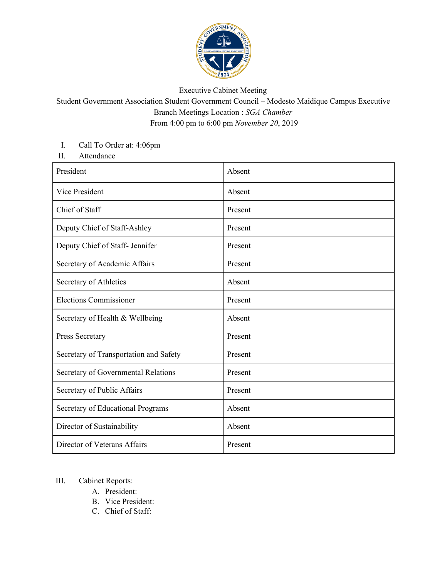

## Executive Cabinet Meeting

Student Government Association Student Government Council – Modesto Maidique Campus Executive Branch Meetings Location : *SGA Chamber* From 4:00 pm to 6:00 pm *November 20*, 2019

## I. Call To Order at: 4:06pm

II. Attendance

| President                              | Absent  |
|----------------------------------------|---------|
| Vice President                         | Absent  |
| Chief of Staff                         | Present |
| Deputy Chief of Staff-Ashley           | Present |
| Deputy Chief of Staff- Jennifer        | Present |
| Secretary of Academic Affairs          | Present |
| Secretary of Athletics                 | Absent  |
| <b>Elections Commissioner</b>          | Present |
| Secretary of Health & Wellbeing        | Absent  |
| Press Secretary                        | Present |
| Secretary of Transportation and Safety | Present |
| Secretary of Governmental Relations    | Present |
| Secretary of Public Affairs            | Present |
| Secretary of Educational Programs      | Absent  |
| Director of Sustainability             | Absent  |
| Director of Veterans Affairs           | Present |

## III. Cabinet Reports:

- A. President:
- B. Vice President:
- C. Chief of Staff: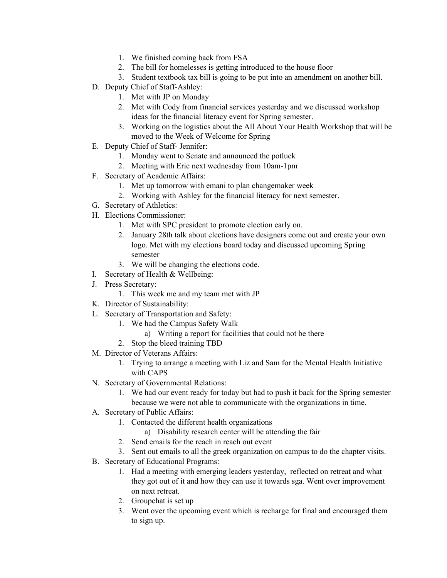- 1. We finished coming back from FSA
- 2. The bill for homelesses is getting introduced to the house floor
- 3. Student textbook tax bill is going to be put into an amendment on another bill.
- D. Deputy Chief of Staff-Ashley:
	- 1. Met with JP on Monday
	- 2. Met with Cody from financial services yesterday and we discussed workshop ideas for the financial literacy event for Spring semester.
	- 3. Working on the logistics about the All About Your Health Workshop that will be moved to the Week of Welcome for Spring
- E. Deputy Chief of Staff- Jennifer:
	- 1. Monday went to Senate and announced the potluck
	- 2. Meeting with Eric next wednesday from 10am-1pm
- F. Secretary of Academic Affairs:
	- 1. Met up tomorrow with emani to plan changemaker week
	- 2. Working with Ashley for the financial literacy for next semester.
- G. Secretary of Athletics:
- H. Elections Commissioner:
	- 1. Met with SPC president to promote election early on.
	- 2. January 28th talk about elections have designers come out and create your own logo. Met with my elections board today and discussed upcoming Spring semester
	- 3. We will be changing the elections code.
- I. Secretary of Health & Wellbeing:
- J. Press Secretary:
	- 1. This week me and my team met with JP
- K. Director of Sustainability:
- L. Secretary of Transportation and Safety:
	- 1. We had the Campus Safety Walk
		- a) Writing a report for facilities that could not be there
	- 2. Stop the bleed training TBD
- M. Director of Veterans Affairs:
	- 1. Trying to arrange a meeting with Liz and Sam for the Mental Health Initiative with CAPS
- N. Secretary of Governmental Relations:
	- 1. We had our event ready for today but had to push it back for the Spring semester because we were not able to communicate with the organizations in time.
- A. Secretary of Public Affairs:
	- 1. Contacted the different health organizations
		- a) Disability research center will be attending the fair
	- 2. Send emails for the reach in reach out event
	- 3. Sent out emails to all the greek organization on campus to do the chapter visits.
- B. Secretary of Educational Programs:
	- 1. Had a meeting with emerging leaders yesterday, reflected on retreat and what they got out of it and how they can use it towards sga. Went over improvement on next retreat.
	- 2. Groupchat is set up
	- 3. Went over the upcoming event which is recharge for final and encouraged them to sign up.